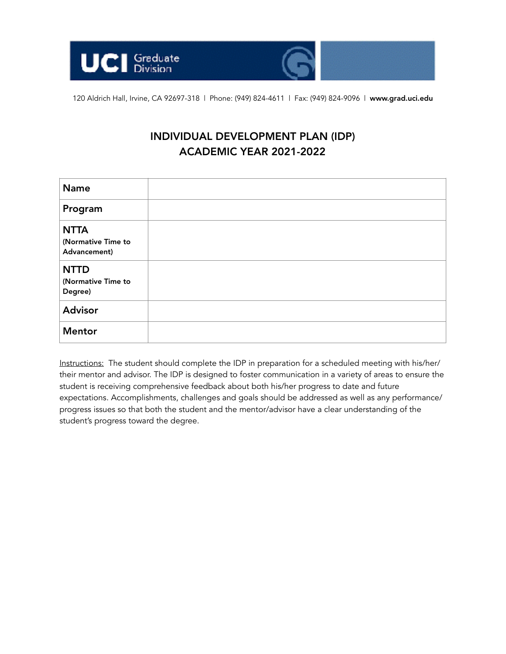



120 Aldrich Hall, Irvine, CA 92697-318 | Phone: (949) 824-4611 | Fax: (949) 824-9096 | www.grad.uci.edu

# INDIVIDUAL DEVELOPMENT PLAN (IDP) ACADEMIC YEAR 2021-2022

| <b>Name</b>                                       |  |
|---------------------------------------------------|--|
| Program                                           |  |
| <b>NTTA</b><br>(Normative Time to<br>Advancement) |  |
| <b>NTTD</b><br>(Normative Time to<br>Degree)      |  |
| <b>Advisor</b>                                    |  |
| <b>Mentor</b>                                     |  |

Instructions: The student should complete the IDP in preparation for a scheduled meeting with his/her/ their mentor and advisor. The IDP is designed to foster communication in a variety of areas to ensure the student is receiving comprehensive feedback about both his/her progress to date and future expectations. Accomplishments, challenges and goals should be addressed as well as any performance/ progress issues so that both the student and the mentor/advisor have a clear understanding of the student's progress toward the degree.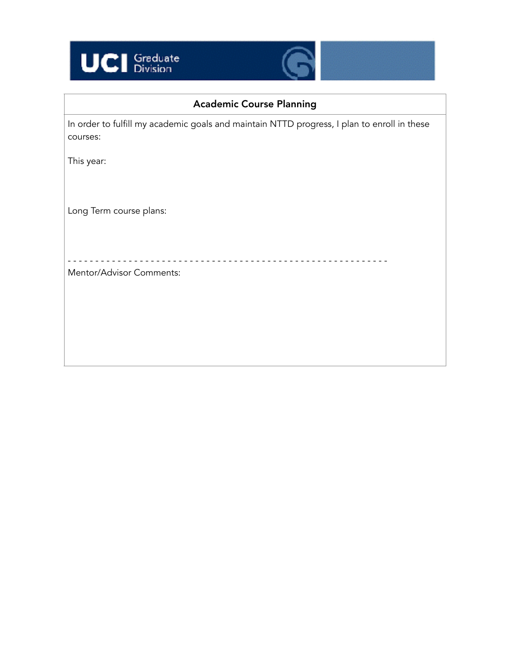



# Academic Course Planning

In order to fulfill my academic goals and maintain NTTD progress, I plan to enroll in these courses:

This year:

Long Term course plans:

- - - - - - - - - - - - - - - - - - - - - - - - - - - - - - - - - - - - - - - - - - - - - - - - - - - - - - - - - -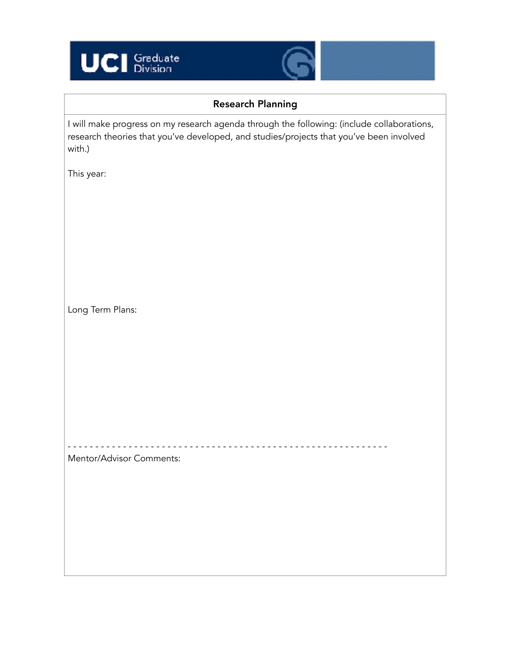



# Research Planning

I will make progress on my research agenda through the following: (include collaborations, research theories that you've developed, and studies/projects that you've been involved with.)

- - - - - - - - - - - - - - - - - - - - - - - - - - - - - - - - - - - - - - - - - - - - - - - - - - - - - - - - - -

This year:

Long Term Plans: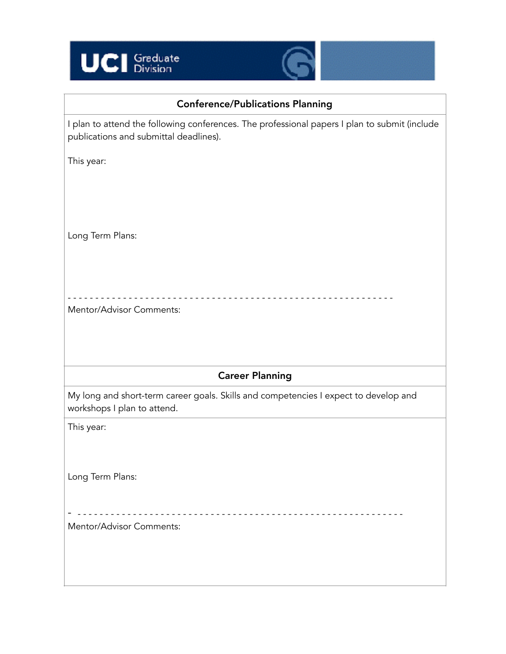



## Conference/Publications Planning

I plan to attend the following conferences. The professional papers I plan to submit (include publications and submittal deadlines).

This year:

Long Term Plans:

Mentor/Advisor Comments:

### Career Planning

My long and short-term career goals. Skills and competencies I expect to develop and workshops I plan to attend.

- - - - - - - - - - - - - - - - - - - - - - - - - - - - - - - - - - - - - - - - - - - - - - - - - - - - - - - - - - -

This year:

Long Term Plans:

- - - - - - - - - - - - - - - - - - - - - - - - - - - - - - - - - - - - - - - - - - - - - - - - - - - - - - - - - - - - Mentor/Advisor Comments: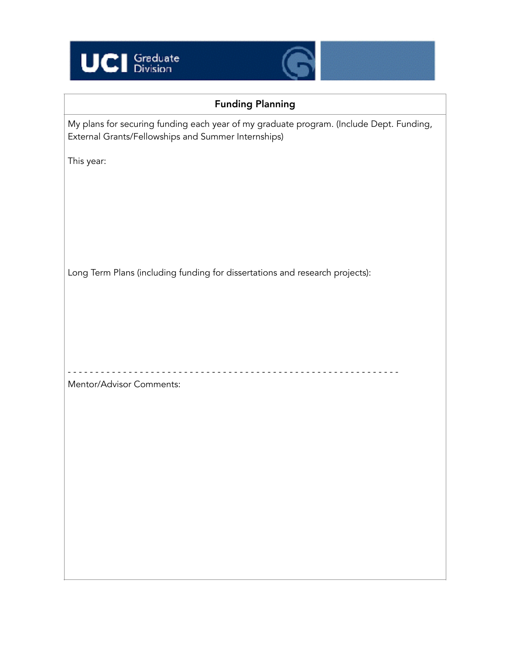



# Funding Planning

My plans for securing funding each year of my graduate program. (Include Dept. Funding, External Grants/Fellowships and Summer Internships)

This year:

Long Term Plans (including funding for dissertations and research projects):

- - - - - - - - - - - - - - - - - - - - - - - - - - - - - - - - - - - - - - - - - - - - - - - - - - - - - - - - - - - -